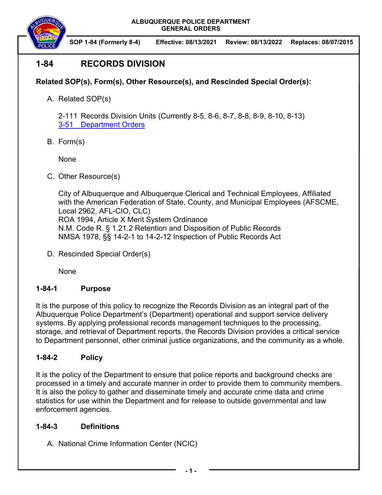

**SOP 1-84 (Formerly 8-4) Effective: 08/13/2021 Review: 08/13/2022 Replaces: 08/07/2015**

# **1-84 RECORDS DIVISION**

# **Related SOP(s), Form(s), Other Resource(s), and Rescinded Special Order(s):**

A. Related SOP(s)

2-111 Records Division Units (Currently 8-5, 8-6, 8-7, 8-8, 8-9, 8-10, 8-13) 3-51 Department Orders

B. Form(s)

None

C. Other Resource(s)

City of Albuquerque and Albuquerque Clerical and Technical Employees, Affiliated with the American Federation of State, County, and Municipal Employees (AFSCME, Local 2962, AFL-CIO, CLC) ROA 1994, Article X Merit System Ordinance N.M. Code R. § 1.21.2 Retention and Disposition of Public Records NMSA 1978, §§ 14-2-1 to 14-2-12 Inspection of Public Records Act

D. Rescinded Special Order(s)

None

### **1-84-1 Purpose**

It is the purpose of this policy to recognize the Records Division as an integral part of the Albuquerque Police Department's (Department) operational and support service delivery systems. By applying professional records management techniques to the processing, storage, and retrieval of Department reports, the Records Division provides a critical service to Department personnel, other criminal justice organizations, and the community as a whole.

### **1-84-2 Policy**

It is the policy of the Department to ensure that police reports and background checks are processed in a timely and accurate manner in order to provide them to community members. It is also the policy to gather and disseminate timely and accurate crime data and crime statistics for use within the Department and for release to outside governmental and law enforcement agencies.

### **1-84-3 Definitions**

A. National Crime Information Center (NCIC)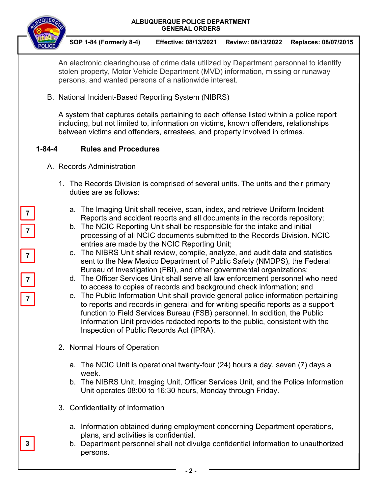

**SOP 1-84 (Formerly 8-4) Effective: 08/13/2021 Review: 08/13/2022 Replaces: 08/07/2015**

An electronic clearinghouse of crime data utilized by Department personnel to identify stolen property, Motor Vehicle Department (MVD) information, missing or runaway persons, and wanted persons of a nationwide interest.

B. National Incident-Based Reporting System (NIBRS)

A system that captures details pertaining to each offense listed within a police report including, but not limited to, information on victims, known offenders, relationships between victims and offenders, arrestees, and property involved in crimes.

# **1-84-4 Rules and Procedures**

- A. Records Administration
	- 1. The Records Division is comprised of several units. The units and their primary duties are as follows:
		- a. The Imaging Unit shall receive, scan, index, and retrieve Uniform Incident Reports and accident reports and all documents in the records repository;
		- b. The NCIC Reporting Unit shall be responsible for the intake and initial processing of all NCIC documents submitted to the Records Division. NCIC entries are made by the NCIC Reporting Unit;
		- c. The NIBRS Unit shall review, compile, analyze, and audit data and statistics sent to the New Mexico Department of Public Safety (NMDPS), the Federal Bureau of Investigation (FBI), and other governmental organizations;
		- d. The Officer Services Unit shall serve all law enforcement personnel who need to access to copies of records and background check information; and
		- e. The Public Information Unit shall provide general police information pertaining to reports and records in general and for writing specific reports as a support function to Field Services Bureau (FSB) personnel. In addition, the Public Information Unit provides redacted reports to the public, consistent with the Inspection of Public Records Act (IPRA).
	- 2. Normal Hours of Operation
		- a. The NCIC Unit is operational twenty-four (24) hours a day, seven (7) days a week.
		- b. The NIBRS Unit, Imaging Unit, Officer Services Unit, and the Police Information Unit operates 08:00 to 16:30 hours, Monday through Friday.
	- 3. Confidentiality of Information
		- a. Information obtained during employment concerning Department operations, plans, and activities is confidential.
		- b. Department personnel shall not divulge confidential information to unauthorized persons.

**3**